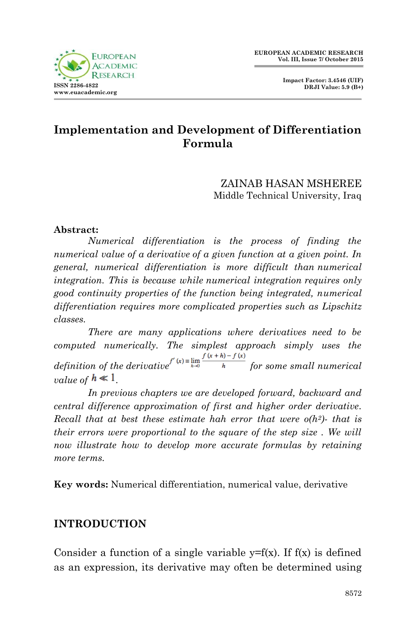

# **Implementation and Development of Differentiation Formula**

#### ZAINAB HASAN MSHEREE Middle Technical University, Iraq

#### **Abstract:**

*Numerical differentiation is the process of finding the numerical value of a [derivative](http://mathworld.wolfram.com/Derivative.html) of a given function at a given point. In general, numerical differentiation is more difficult than [numerical](http://mathworld.wolfram.com/NumericalIntegration.html)  [integration.](http://mathworld.wolfram.com/NumericalIntegration.html) This is because while [numerical integration](http://mathworld.wolfram.com/NumericalIntegration.html) requires only good continuity properties of the function being integrated, numerical differentiation requires more complicated properties such as Lipschitz classes.* 

*There are many applications where derivatives need to be computed numerically. The simplest approach simply uses the definition of the derivative*<sup> $f'(x) = \lim_{h \to 0} \frac{f(x+h) - f(x)}{h}$  *for some small numerical*</sup> *value of*  $h \ll 1$ 

*In previous chapters we are developed forward, backward and central difference approximation of first and higher order derivative. Recall that at best these estimate hah error that were o(h2)- that is their errors were proportional to the square of the step size . We will now illustrate how to develop more accurate formulas by retaining more terms.*

**Key words:** Numerical differentiation, numerical value, derivative

# **INTRODUCTION**

Consider a function of a single variable  $y=f(x)$ . If  $f(x)$  is defined as an expression, its derivative may often be determined using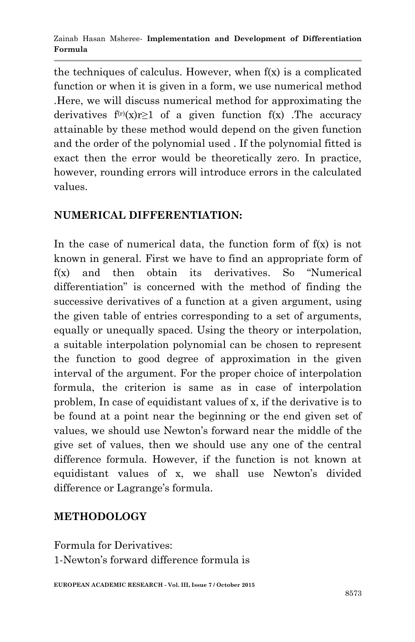the techniques of calculus. However, when f(x) is a complicated function or when it is given in a form, we use numerical method .Here, we will discuss numerical method for approximating the derivatives  $f^{(r)}(x)r \geq 1$  of a given function  $f(x)$ . The accuracy attainable by these method would depend on the given function and the order of the polynomial used . If the polynomial fitted is exact then the error would be theoretically zero. In practice, however, rounding errors will introduce errors in the calculated values.

### **NUMERICAL DIFFERENTIATION:**

In the case of numerical data, the function form of  $f(x)$  is not known in general. First we have to find an appropriate form of f(x) and then obtain its derivatives. So "Numerical differentiation" is concerned with the method of finding the successive derivatives of a function at a given argument, using the given table of entries corresponding to a set of arguments, equally or unequally spaced. Using the theory or interpolation, a suitable interpolation polynomial can be chosen to represent the function to good degree of approximation in the given interval of the argument. For the proper choice of interpolation formula, the criterion is same as in case of interpolation problem, In case of equidistant values of x, if the derivative is to be found at a point near the beginning or the end given set of values, we should use Newton's forward near the middle of the give set of values, then we should use any one of the central difference formula. However, if the function is not known at equidistant values of x, we shall use Newton's divided difference or Lagrange's formula.

# **METHODOLOGY**

Formula for Derivatives: 1-Newton's forward difference formula is

**EUROPEAN ACADEMIC RESEARCH - Vol. III, Issue 7 / October 2015**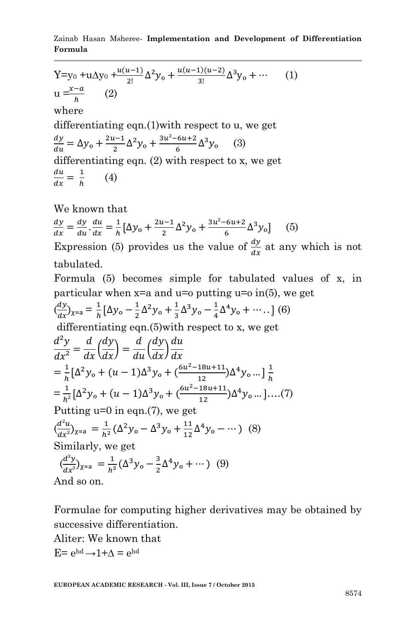Zainab Hasan Msheree*-* **Implementation and Development of Differentiation Formula**

Y=y<sub>0</sub> +uΔy<sub>0</sub> + 
$$
\frac{u(u-1)}{2!}
$$
Δ<sup>2</sup>y<sub>0</sub> +  $\frac{u(u-1)(u-2)}{3!}$ Δ<sup>3</sup>y<sub>0</sub> + ... (1)  
\nu =  $\frac{x-a}{h}$  (2)  
\nwhere  
\ndifferentiating eqn.(1)with respect to u, we get  
\n $\frac{dy}{du} = \Delta y_0 + \frac{2u-1}{2} \Delta^2 y_0 + \frac{3u^2-6u+2}{6} \Delta^3 y_0$  (3)  
\ndifferentiating eqn. (2) with respect to x, we get  
\n $\frac{du}{dx} = \frac{1}{h}$  (4)

We known that

$$
\frac{dy}{dx} = \frac{dy}{du} \cdot \frac{du}{dx} = \frac{1}{h} \left[ \Delta y_0 + \frac{2u - 1}{2} \Delta^2 y_0 + \frac{3u^2 - 6u + 2}{6} \Delta^3 y_0 \right] \tag{5}
$$

Expression (5) provides us the value of  $\frac{dy}{dx}$  at any which is not tabulated.

Formula (5) becomes simple for tabulated values of x, in particular when  $x=a$  and  $u=0$  putting  $u=0$  in(5), we get

$$
\left(\frac{dy}{dx}\right)_{\chi=a} = \frac{1}{h} \left[ \Delta y_o - \frac{1}{2} \Delta^2 y_o + \frac{1}{3} \Delta^3 y_o - \frac{1}{4} \Delta^4 y_o + \dotsb \right] \tag{6}
$$

differentiating eqn.(5)with respect to x, we get

$$
\frac{d^2y}{dx^2} = \frac{d}{dx} \left(\frac{dy}{dx}\right) = \frac{d}{du} \left(\frac{dy}{dx}\right) \frac{du}{dx}
$$
  
\n
$$
= \frac{1}{h} \left[\Delta^2 y_o + (u - 1)\Delta^3 y_o + \frac{(6u^2 - 18u + 11)}{12}\Delta^4 y_o \dots \right] \frac{1}{h}
$$
  
\n
$$
= \frac{1}{h^2} \left[\Delta^2 y_o + (u - 1)\Delta^3 y_o + \frac{(6u^2 - 18u + 11)}{12}\Delta^4 y_o \dots \right] \dots .(7)
$$
  
\nPutting u=0 in eqn.(7), we get  
\n
$$
\left(\frac{d^2u}{dx^2}\right)_{x=a} = \frac{1}{h^2} \left(\Delta^2 y_o - \Delta^3 y_o + \frac{11}{12}\Delta^4 y_o - \dots \right)
$$
 (8)  
\nSimilarly, we get  
\n
$$
\left(\frac{d^3y}{dx^3}\right)_{x=a} = \frac{1}{h^3} \left(\Delta^3 y_o - \frac{3}{2}\Delta^4 y_o + \dots \right)
$$
 (9)  
\nAnd so on.

And so on.

Formulae for computing higher derivatives may be obtained by successive differentiation.

Aliter: We known that

E=  $e^{hd}$  →  $1+\Delta$  =  $e^{hd}$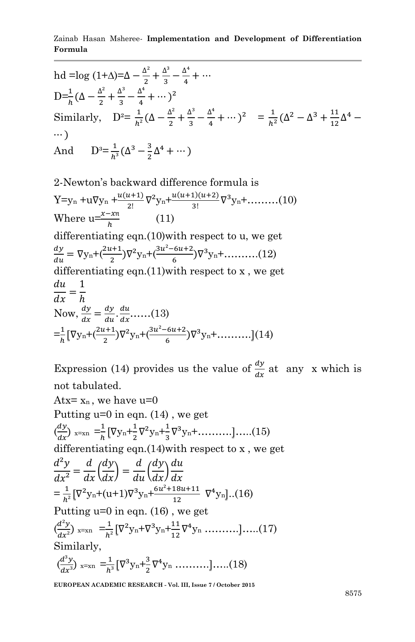Zainab Hasan Msheree*-* **Implementation and Development of Differentiation Formula**

hd =log (1+A)=
$$
\Delta - \frac{\Delta^2}{2} + \frac{\Delta^3}{3} - \frac{\Delta^4}{4} + \cdots
$$
  
\n $D=\frac{1}{h}(\Delta - \frac{\Delta^2}{2} + \frac{\Delta^3}{3} - \frac{\Delta^4}{4} + \cdots)^2$   
\nSimilarly,  $D^2 = \frac{1}{h^2}(\Delta - \frac{\Delta^2}{2} + \frac{\Delta^3}{3} - \frac{\Delta^4}{4} + \cdots)^2 = \frac{1}{h^2}(\Delta^2 - \Delta^3 + \frac{11}{12}\Delta^4 - \cdots)$   
\nAnd  $D^3 = \frac{1}{h^3}(\Delta^3 - \frac{3}{2}\Delta^4 + \cdots)$   
\n2-Newton's backward difference formula is  
\nY=y<sub>n</sub> +u $\nabla y_n + \frac{u(u+1)}{2!}\nabla^2 y_n + \frac{u(u+1)(u+2)}{3!}\nabla^3 y_n + \cdots$ ...(10)  
\nWhere  $u = \frac{x - xn}{h}$  (11)  
\ndifferentiating eqn.(10) with respect to u, we get  
\n $\frac{dy}{du} = \nabla y_n + (\frac{2u+1}{2})\nabla^2 y_n + (\frac{3u^2 - 6u + 2}{6})\nabla^3 y_n + \cdots$ ...(12)  
\ndifferentiating eqn.(11) with respect to x, we get  
\n $\frac{du}{dx} = \frac{1}{h}$   
\nNow,  $\frac{dy}{dx} = \frac{dy}{du} \cdot \frac{du}{dx} \cdots$ ...(13)  
\n $= \frac{1}{h} [\nabla y_n + (\frac{2u+1}{2})\nabla^2 y_n + (\frac{3u^2 - 6u + 2}{6})\nabla^3 y_n + \cdots$ ...(14)

Expression (14) provides us the value of  $\frac{dy}{dx}$  at any x which is not tabulated. Atx= $x_n$ , we have  $u=0$ Putting  $u=0$  in eqn. (14), we get

$$
\left(\frac{dy}{dx}\right)_{x=xn} = \frac{1}{h} \left[ \nabla y_n + \frac{1}{2} \nabla^2 y_n + \frac{1}{3} \nabla^3 y_n + \dots \dots \dots \right] \dots (15)
$$

differentiating eqn.(14)with respect to x , we get

$$
\frac{d^2y}{dx^2} = \frac{d}{dx} \left(\frac{dy}{dx}\right) = \frac{d}{du} \left(\frac{dy}{dx}\right) \frac{du}{dx}
$$
  
=  $\frac{1}{h^2} \left[\nabla^2 y_n + (u+1)\nabla^3 y_n + \frac{6u^2 + 18u + 11}{12} \nabla^4 y_n\right]...(16)$   
Putting u=0 in eqn. (16), we get  
 $\left(\frac{d^2y}{dx^2}\right)_{x=x_0} = \frac{1}{h^2} \left[\nabla^2 y_n + \nabla^3 y_n + \frac{11}{12} \nabla^4 y_n \dots \dots \dots \right]...(17)$ 

Similarly,  $\binom{d}{ }$  $\frac{d^3y}{dx^3}$ ) x=xn = $\frac{1}{h^3}$  $\frac{1}{h^3} [\nabla^3 y_n + \frac{3}{2}]$  $\frac{3}{2}\nabla^4 y_n \dots \dots \dots \dots \dots (18)$ 

**EUROPEAN ACADEMIC RESEARCH - Vol. III, Issue 7 / October 2015**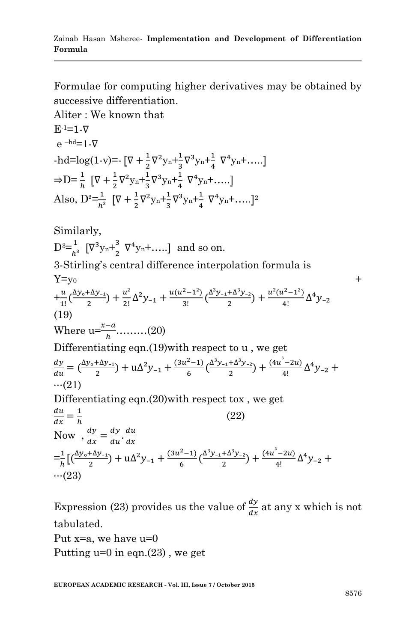Formulae for computing higher derivatives may be obtained by successive differentiation.

Aliter : We known that  
\nE<sup>-1=1</sup>-V  
\ne<sup>-hd</sup>=1-Q  
\n-hd=log(1-v)=: 
$$
[\nabla + \frac{1}{2}\nabla^2 y_n + \frac{1}{3}\nabla^3 y_n + \frac{1}{4}\nabla^4 y_n + .....]
$$
  
\n $\Rightarrow D = \frac{1}{h} [\nabla + \frac{1}{2}\nabla^2 y_n + \frac{1}{3}\nabla^3 y_n + \frac{1}{4}\nabla^4 y_n + .....]$   
\nAlso,  $D^2 = \frac{1}{h^2} [\nabla + \frac{1}{2}\nabla^2 y_n + \frac{1}{3}\nabla^3 y_n + \frac{1}{4}\nabla^4 y_n + .....]$ <sup>2</sup>  
\nSimilarly,  
\n $D^3 = \frac{1}{h^3} [\nabla^3 y_n + \frac{3}{2}\nabla^4 y_n + .....]$  and so on.  
\n3-Stirling's central difference interpolation formula is  
\nY=y<sub>0</sub>  
\n+ $\frac{u}{1!} (\frac{\Delta y_o + \Delta y_{-1}}{2}) + \frac{u^2}{2!} \Delta^2 y_{-1} + \frac{u(u^2 - 1^2)}{3!} (\frac{\Delta^3 y_{-1} + \Delta^3 y_{-2}}{2}) + \frac{u^2(u^2 - 1^2)}{4!} \Delta^4 y_{-2}$   
\n(19)  
\nWhere  $u = \frac{x-a}{h}$ ........(20)  
\nDifferentiating eqn.(19) with respect to u, we get  
\n $\frac{dy}{du} = (\frac{\Delta y_o + \Delta y_{-1}}{2}) + u\Delta^2 y_{-1} + \frac{(3u^2 - 1)}{6} (\frac{\Delta^3 y_{-1} + \Delta^3 y_{-2}}{2}) + \frac{(4u^2 - 2u)}{4!} \Delta^4 y_{-2} + ...$   
\n(21)  
\nDifferentiating eqn.(20) with respect to x, we get  
\n $\frac{du}{dx} = \frac{1}{h}$  (22)  
\nNow,  $\frac{dy}{dx} = \frac{dy}{du} \cdot \frac{du}{dx}$   
\n $= \frac{1}{h} [(\frac{\Delta y_o + \Delta y_{-1}}{2}) + u\Delta^2 y_{-1} + \frac{(3u^2 - 1)}{6} (\frac{\Delta^3 y_{-1$ 

Expression (23) provides us the value of  $\frac{dy}{dx}$  at any x which is not tabulated. Put x=a, we have u=0 Putting  $u=0$  in eqn.(23), we get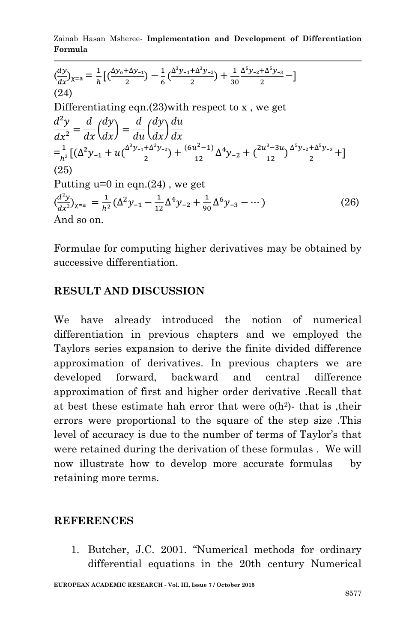Zainab Hasan Msheree*-* **Implementation and Development of Differentiation Formula**

$$
\frac{dy}{dx} y_{x=a} = \frac{1}{h} \left[ \left( \frac{\Delta y_0 + \Delta y_{-1}}{2} \right) - \frac{1}{6} \left( \frac{\Delta^3 y_{-1} + \Delta^3 y_{-2}}{2} \right) + \frac{1}{30} \frac{\Delta^5 y_{-2} + \Delta^5 y_{-3}}{2} - \right]
$$
\n(24)\nDifferentiating eqn.(23) with respect to x, we get\n
$$
\frac{d^2y}{dx^2} = \frac{d}{dx} \left( \frac{dy}{dx} \right) = \frac{d}{du} \left( \frac{dy}{dx} \right) \frac{du}{dx}
$$
\n
$$
= \frac{1}{h^2} \left[ \left( \Delta^2 y_{-1} + u \left( \frac{\Delta^3 y_{-1} + \Delta^3 y_{-2}}{2} \right) + \frac{(6u^2 - 1)}{12} \Delta^4 y_{-2} + \left( \frac{2u^3 - 3u}{12} \right) \frac{\Delta^5 y_{-2} + \Delta^5 y_{-3}}{2} + \right] \right]
$$
\n(25)\nPutting u=0 in eqn.(24), we get\n
$$
\left( \frac{d^2y}{dx^2} \right)_{x=a} = \frac{1}{h^2} (\Delta^2 y_{-1} - \frac{1}{12} \Delta^4 y_{-2} + \frac{1}{90} \Delta^6 y_{-3} - \cdots) \qquad (26)
$$
\nAnd so on.

Formulae for computing higher derivatives may be obtained by successive differentiation.

#### **RESULT AND DISCUSSION**

We have already introduced the notion of numerical differentiation in previous chapters and we employed the Taylors series expansion to derive the finite divided difference approximation of derivatives. In previous chapters we are developed forward, backward and central difference approximation of first and higher order derivative .Recall that at best these estimate hah error that were  $o(h^2)$ - that is, their errors were proportional to the square of the step size .This level of accuracy is due to the number of terms of Taylor's that were retained during the derivation of these formulas . We will now illustrate how to develop more accurate formulas by retaining more terms.

#### **REFERENCES**

1. Butcher, J.C. 2001. "Numerical methods for ordinary differential equations in the 20th century Numerical

**EUROPEAN ACADEMIC RESEARCH - Vol. III, Issue 7 / October 2015**